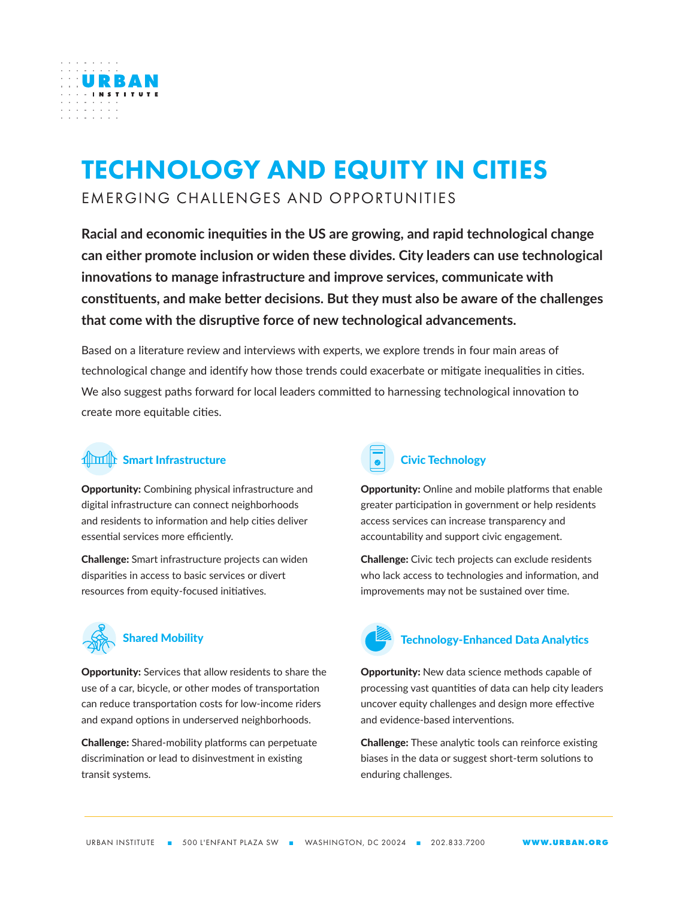

# TECHNOLOGY AND EQUITY IN CITIES EMERGING CHALLENGES AND OPPORTUNITIES

**Racial and economic inequities in the US are growing, and rapid technological change can either promote inclusion or widen these divides. City leaders can use technological innovations to manage infrastructure and improve services, communicate with constituents, and make better decisions. But they must also be aware of the challenges that come with the disruptive force of new technological advancements.**

Based on a literature review and interviews with experts, we explore trends in four main areas of technological change and identify how those trends could exacerbate or mitigate inequalities in cities. We also suggest paths forward for local leaders committed to harnessing technological innovation to create more equitable cities.

## **ADOUL** Smart Infrastructure

Opportunity: Combining physical infrastructure and digital infrastructure can connect neighborhoods and residents to information and help cities deliver essential services more efficiently.

Challenge: Smart infrastructure projects can widen disparities in access to basic services or divert resources from equity-focused initiatives.



Opportunity: Services that allow residents to share the use of a car, bicycle, or other modes of transportation can reduce transportation costs for low-income riders and expand options in underserved neighborhoods.

Challenge: Shared-mobility platforms can perpetuate discrimination or lead to disinvestment in existing transit systems.



## Civic Technology

Opportunity: Online and mobile platforms that enable greater participation in government or help residents access services can increase transparency and accountability and support civic engagement.

Challenge: Civic tech projects can exclude residents who lack access to technologies and information, and improvements may not be sustained over time.



Opportunity: New data science methods capable of processing vast quantities of data can help city leaders uncover equity challenges and design more effective and evidence-based interventions.

Challenge: These analytic tools can reinforce existing biases in the data or suggest short-term solutions to enduring challenges.